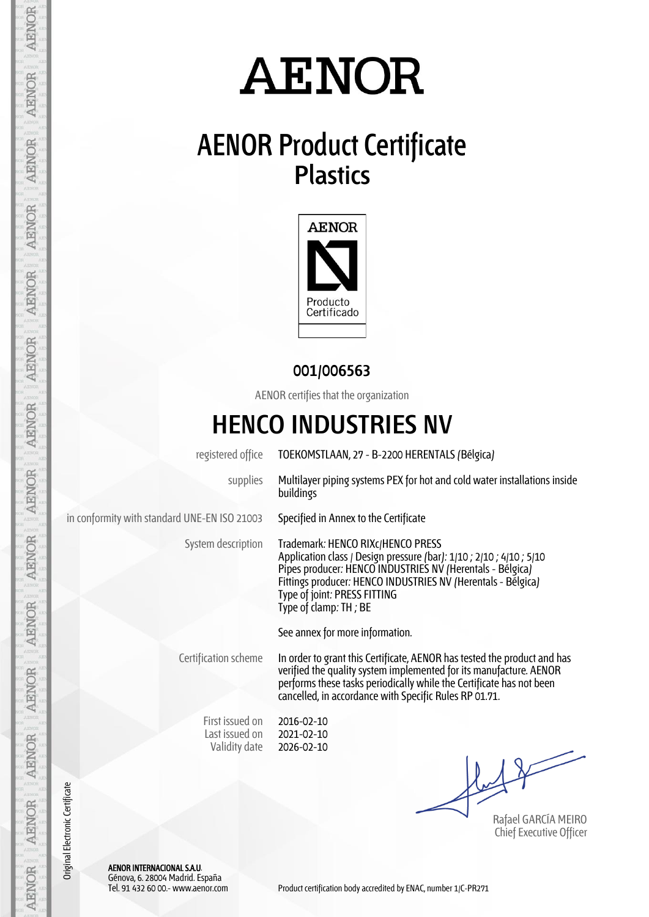### **AENOR Product Certificate Plastics**



#### **001/006563**

AENOR certifies that the organization

### **HENCO INDUSTRIES NV**

registered office TOEKOMSTLAAN, 27 - B-2200 HERENTALS (Bélgica)

supplies Multilayer piping systems PEX for hot and cold water installations inside buildings

in conformity with standard UNE-EN ISO 21003 Specified in Annex to the Certificate

System description Trademark: HENCO RIXc/HENCO PRESS Application class / Design pressure (bar): 1/10 ; 2/10 ; 4/10 ; 5/10 Pipes producer: HENCO INDUSTRIES NV (Herentals - Bélgica) Fittings producer: HENCO INDUSTRIES NV (Herentals - Bélgica) Type of joint: PRESS FITTING Type of clamp: TH ; BE

See annex for more information.

Certification scheme In order to grant this Certificate, AENOR has tested the product and has verified the quality system implemented for its manufacture. AENOR performs these tasks periodically while the Certificate has not been cancelled, in accordance with Specific Rules RP 01.71.

First issued on Last issued on Validity date

2016-02-10 2021-02-10 2026-02-10

Rafael GARCÍA MEIRO Chief Executive Officer

AENOR INTERNACIONAL S.A.U. Génova, 6. 28004 Madrid. España

Original Electronic Certificate

Original Electronic Certificate

**AENOR** 

**AENOR** 

**AENOR** 

**AENOR** 

AENOR

**AENOR** 

AENOR

**AENOR** 

AENOR

**AENOR** 

**AENOR** 

**AENOR** 

**AENOR**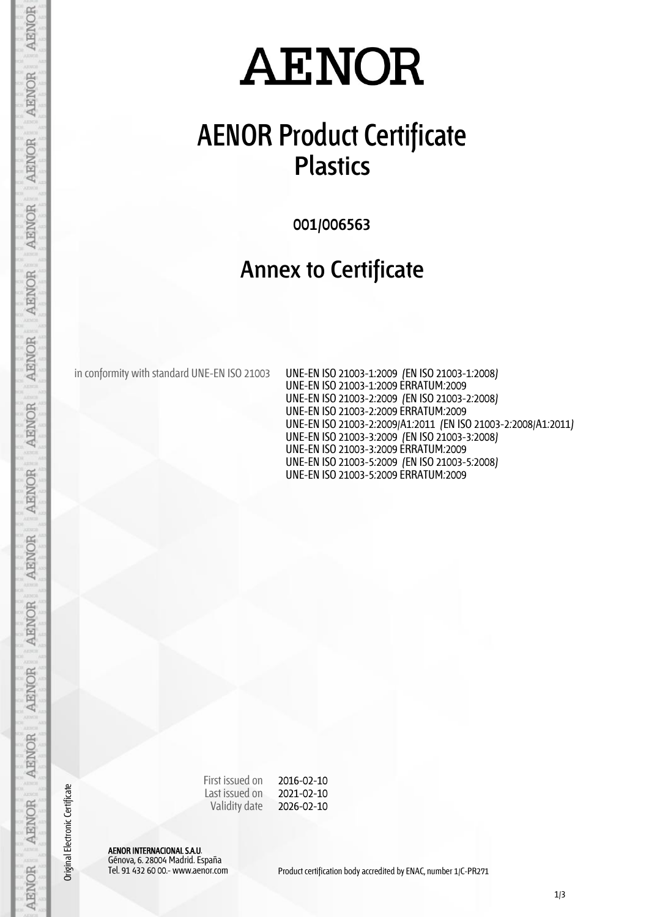### **AENOR Product Certificate Plastics**

**001/006563**

#### **Annex to Certificate**

in conformity with standard UNE-EN ISO 21003 UNE-EN ISO 21003-1:2009 (EN ISO 21003-1:2008)

UNE-EN ISO 21003-1:2009 ERRATUM:2009 UNE-EN ISO 21003-2:2009 (EN ISO 21003-2:2008) UNE-EN ISO 21003-2:2009 ERRATUM:2009 UNE-EN ISO 21003-2:2009/A1:2011 (EN ISO 21003-2:2008/A1:2011) UNE-EN ISO 21003-3:2009 (EN ISO 21003-3:2008) UNE-EN ISO 21003-3:2009 ERRATUM:2009 UNE-EN ISO 21003-5:2009 (EN ISO 21003-5:2008) UNE-EN ISO 21003-5:2009 ERRATUM:2009

First issued on Last issued on Validity date 2016-02-10 2021-02-10 2026-02-10

AENOR INTERNACIONAL S.A.U. Génova, 6. 28004 Madrid. España

Original Electronic Certificate

AENOR

**AENOR** 

**AENOR** 

**AENOR** 

**AENOR** 

**AENOR** 

**AENOR** 

**AENOR** 

**AENOR** 

AENOR

**AENOR** 

**AENOR** 

**AENOR**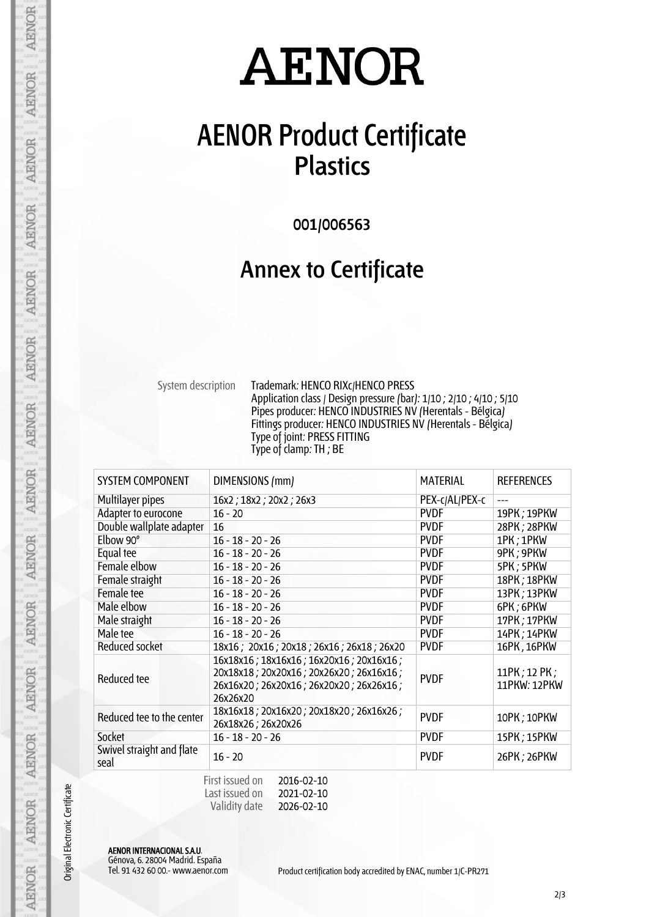### **AENOR Product Certificate Plastics**

**001/006563**

#### **Annex to Certificate**

System description Trademark: HENCO RIXc/HENCO PRESS Application class / Design pressure (bar): 1/10 ; 2/10 ; 4/10 ; 5/10 Pipes producer: HENCO INDUSTRIES NV (Herentals - Bélgica) Fittings producer: HENCO INDUSTRIES NV (Herentals - Bélgica) Type of joint: PRESS FITTING Type of clamp: TH ; BE

| <b>SYSTEM COMPONENT</b>           | DIMENSIONS (mm)                                                                                                                           | <b>MATERIAL</b> | <b>REFERENCES</b>            |
|-----------------------------------|-------------------------------------------------------------------------------------------------------------------------------------------|-----------------|------------------------------|
| Multilayer pipes                  | 16x2; 18x2; 20x2; 26x3                                                                                                                    | PEX-c/AL/PEX-c  |                              |
| Adapter to eurocone               | $16 - 20$                                                                                                                                 | <b>PVDF</b>     | 19PK; 19PKW                  |
| Double wallplate adapter          | 16                                                                                                                                        | <b>PVDF</b>     | 28PK; 28PKW                  |
| Elbow 90°                         | $16 - 18 - 20 - 26$                                                                                                                       | <b>PVDF</b>     | 1PK; 1PKW                    |
| Equal tee                         | $16 - 18 - 20 - 26$                                                                                                                       | <b>PVDF</b>     | 9PK; 9PKW                    |
| Female elbow                      | $16 - 18 - 20 - 26$                                                                                                                       | <b>PVDF</b>     | 5PK; 5PKW                    |
| Female straight                   | $16 - 18 - 20 - 26$                                                                                                                       | <b>PVDF</b>     | 18PK; 18PKW                  |
| Female tee                        | $16 - 18 - 20 - 26$                                                                                                                       | <b>PVDF</b>     | 13PK; 13PKW                  |
| Male elbow                        | $16 - 18 - 20 - 26$                                                                                                                       | <b>PVDF</b>     | 6PK; 6PKW                    |
| Male straight                     | $16 - 18 - 20 - 26$                                                                                                                       | <b>PVDF</b>     | 17PK; 17PKW                  |
| Male tee                          | $16 - 18 - 20 - 26$                                                                                                                       | <b>PVDF</b>     | 14PK; 14PKW                  |
| Reduced socket                    | 18x16; 20x16; 20x18; 26x16; 26x18; 26x20                                                                                                  | <b>PVDF</b>     | 16PK, 16PKW                  |
| Reduced tee                       | 16x18x16; 18x16x16; 16x20x16; 20x16x16;<br>20x18x18; 20x20x16; 20x26x20; 26x16x16;<br>26x16x20; 26x20x16; 26x20x20; 26x26x16;<br>26x26x20 | <b>PVDF</b>     | 11PK; 12 PK;<br>11PKW: 12PKW |
| Reduced tee to the center         | 18x16x18; 20x16x20; 20x18x20; 26x16x26;<br>26x18x26; 26x20x26                                                                             | <b>PVDF</b>     | 10PK; 10PKW                  |
| Socket                            | $16 - 18 - 20 - 26$                                                                                                                       | <b>PVDF</b>     | 15PK; 15PKW                  |
| Swivel straight and flate<br>seal | $16 - 20$                                                                                                                                 | <b>PVDF</b>     | 26PK; 26PKW                  |

| First issued on | 2016-02-10 |
|-----------------|------------|
| Last issued on  | 2021-02-10 |
| Validity date   | 2026-02-10 |

AENOR INTERNACIONAL S.A.U. Génova, 6. 28004 Madrid. España

Original Electronic Certificate

**AENOR** 

**AENOR** 

**AENOR** 

**AENOR** 

**AENOR** 

**AENOR** 

**AENOR** 

**AENOR** 

**AENOR** 

AENOR

**AENOR** 

**AENOR** 

**AENOR**